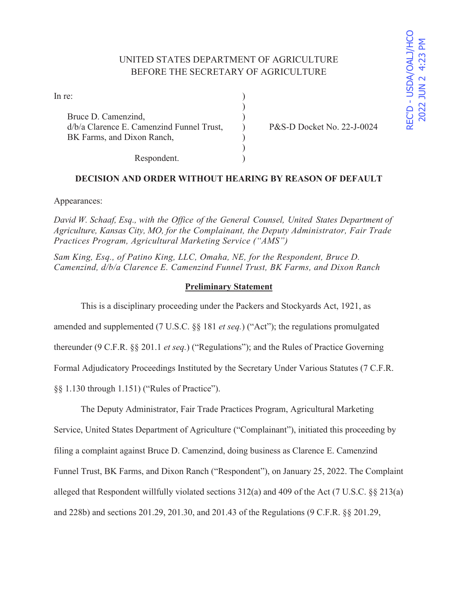# UNITED STATES DEPARTMENT OF AGRICULTURE BEFORE THE SECRETARY OF AGRICULTURE

)

 $\mathcal{L}$ 

| In re: |  |
|--------|--|
|        |  |

Bruce D. Camenzind, d/b/a Clarence E. Camenzind Funnel Trust, ) P&S-D Docket No. 22-J-0024 BK Farms, and Dixon Ranch,

Respondent.

## **DECISION AND ORDER WITHOUT HEARING BY REASON OF DEFAULT**

Appearances:

*David W. Schaaf, Esq., with the Office of the General Counsel, United States Department of Agriculture, Kansas City, MO, for the Complainant, the Deputy Administrator, Fair Trade Practices Program, Agricultural Marketing Service ("AMS")* 

*Sam King, Esq., of Patino King, LLC, Omaha, NE, for the Respondent, Bruce D. Camenzind, d/b/a Clarence E. Camenzind Funnel Trust, BK Farms, and Dixon Ranch* 

### **Preliminary Statement**

This is a disciplinary proceeding under the Packers and Stockyards Act, 1921, as

amended and supplemented (7 U.S.C. §§ 181 *et seq.*) ("Act"); the regulations promulgated

thereunder (9 C.F.R. §§ 201.1 *et seq.*) ("Regulations"); and the Rules of Practice Governing

Formal Adjudicatory Proceedings Instituted by the Secretary Under Various Statutes (7 C.F.R.

§§ 1.130 through 1.151) ("Rules of Practice").

The Deputy Administrator, Fair Trade Practices Program, Agricultural Marketing

Service, United States Department of Agriculture ("Complainant"), initiated this proceeding by filing a complaint against Bruce D. Camenzind, doing business as Clarence E. Camenzind Funnel Trust, BK Farms, and Dixon Ranch ("Respondent"), on January 25, 2022. The Complaint alleged that Respondent willfully violated sections  $312(a)$  and 409 of the Act (7 U.S.C. §§ 213(a) and 228b) and sections 201.29, 201.30, and 201.43 of the Regulations (9 C.F.R. §§ 201.29,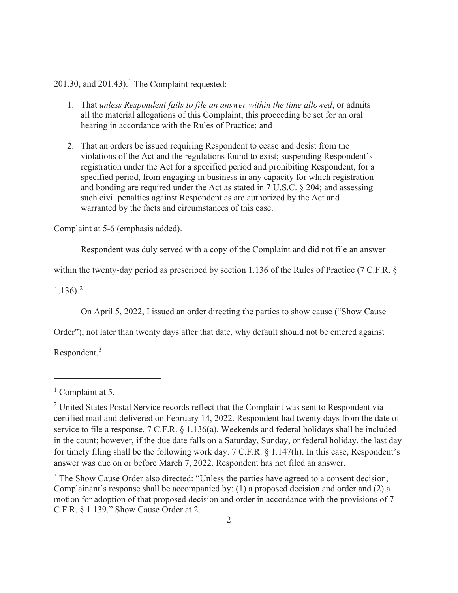$201.30$ , and  $201.43$ ).<sup>1</sup> The Complaint requested:

- 1. That *unless Respondent fails to file an answer within the time allowed*, or admits all the material allegations of this Complaint, this proceeding be set for an oral hearing in accordance with the Rules of Practice; and
- 2. That an orders be issued requiring Respondent to cease and desist from the violations of the Act and the regulations found to exist; suspending Respondent's registration under the Act for a specified period and prohibiting Respondent, for a specified period, from engaging in business in any capacity for which registration and bonding are required under the Act as stated in 7 U.S.C. § 204; and assessing such civil penalties against Respondent as are authorized by the Act and warranted by the facts and circumstances of this case.

Complaint at 5-6 (emphasis added).

Respondent was duly served with a copy of the Complaint and did not file an answer

within the twenty-day period as prescribed by section 1.136 of the Rules of Practice (7 C.F.R. §

 $1.136$ ).<sup>2</sup>

On April 5, 2022, I issued an order directing the parties to show cause ("Show Cause

Order"), not later than twenty days after that date, why default should not be entered against

Respondent.<sup>3</sup>

<sup>&</sup>lt;sup>1</sup> Complaint at 5.

<sup>&</sup>lt;sup>2</sup> United States Postal Service records reflect that the Complaint was sent to Respondent via certified mail and delivered on February 14, 2022. Respondent had twenty days from the date of service to file a response. 7 C.F.R. § 1.136(a). Weekends and federal holidays shall be included in the count; however, if the due date falls on a Saturday, Sunday, or federal holiday, the last day for timely filing shall be the following work day. 7 C.F.R. § 1.147(h). In this case, Respondent's answer was due on or before March 7, 2022. Respondent has not filed an answer.

 $3$  The Show Cause Order also directed: "Unless the parties have agreed to a consent decision, Complainant's response shall be accompanied by: (1) a proposed decision and order and (2) a motion for adoption of that proposed decision and order in accordance with the provisions of 7 C.F.R. § 1.139." Show Cause Order at 2.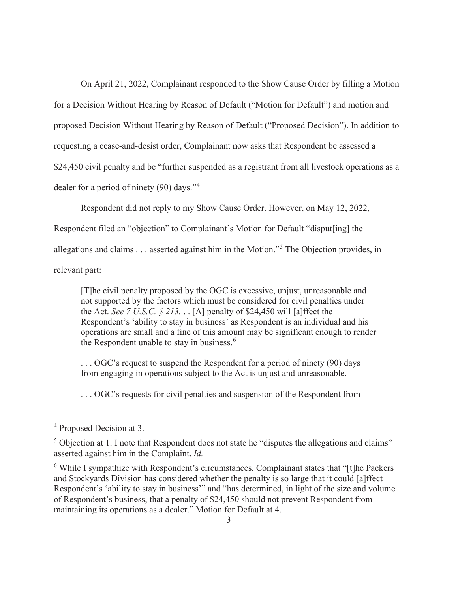On April 21, 2022, Complainant responded to the Show Cause Order by filling a Motion for a Decision Without Hearing by Reason of Default ("Motion for Default") and motion and proposed Decision Without Hearing by Reason of Default ("Proposed Decision"). In addition to requesting a cease-and-desist order, Complainant now asks that Respondent be assessed a \$24,450 civil penalty and be "further suspended as a registrant from all livestock operations as a dealer for a period of ninety (90) days."<sup>4</sup>

Respondent did not reply to my Show Cause Order. However, on May 12, 2022,

Respondent filed an "objection" to Complainant's Motion for Default "disput[ing] the

allegations and claims . . . asserted against him in the Motion."<sup>5</sup> The Objection provides, in

relevant part:

[T]he civil penalty proposed by the OGC is excessive, unjust, unreasonable and not supported by the factors which must be considered for civil penalties under the Act. *See 7 U.S.C.*  $\S 213$ ... [A] penalty of \$24,450 will [a] ffect the Respondent's 'ability to stay in business' as Respondent is an individual and his operations are small and a fine of this amount may be significant enough to render the Respondent unable to stay in business.<sup>6</sup>

... OGC's request to suspend the Respondent for a period of ninety (90) days from engaging in operations subject to the Act is unjust and unreasonable.

. . . OGC's requests for civil penalties and suspension of the Respondent from

<sup>4</sup> Proposed Decision at 3.

 $<sup>5</sup>$  Objection at 1. I note that Respondent does not state he "disputes the allegations and claims"</sup> asserted against him in the Complaint. *Id.* 

 $6$  While I sympathize with Respondent's circumstances, Complainant states that "[t]he Packers and Stockyards Division has considered whether the penalty is so large that it could [a]ffect Respondent's 'ability to stay in business'" and "has determined, in light of the size and volume of Respondent's business, that a penalty of \$24,450 should not prevent Respondent from maintaining its operations as a dealer." Motion for Default at 4.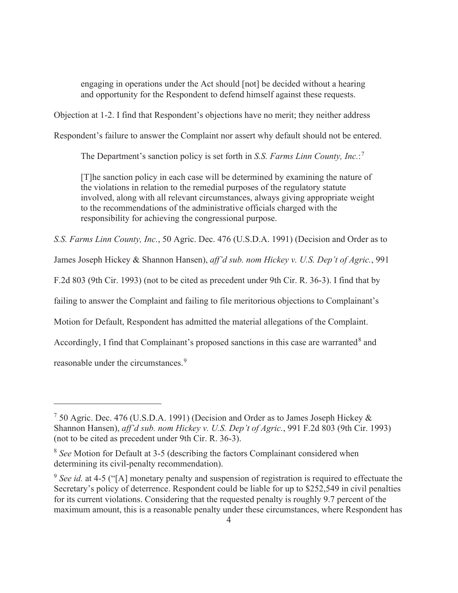engaging in operations under the Act should [not] be decided without a hearing and opportunity for the Respondent to defend himself against these requests.

Objection at 1-2. I find that Respondent's objections have no merit; they neither address

Respondent's failure to answer the Complaint nor assert why default should not be entered.

The Department's sanction policy is set forth in *S.S. Farms Linn County, Inc.*: 7

[T]he sanction policy in each case will be determined by examining the nature of the violations in relation to the remedial purposes of the regulatory statute involved, along with all relevant circumstances, always giving appropriate weight to the recommendations of the administrative officials charged with the responsibility for achieving the congressional purpose.

*S.S. Farms Linn County, Inc.*, 50 Agric. Dec. 476 (U.S.D.A. 1991) (Decision and Order as to

James Joseph Hickey & Shannon Hansen), *aff'd sub. nom Hickey v. U.S. Dep't of Agric.*, 991

F.2d 803 (9th Cir. 1993) (not to be cited as precedent under 9th Cir. R. 36-3). I find that by

failing to answer the Complaint and failing to file meritorious objections to Complainant's

Motion for Default, Respondent has admitted the material allegations of the Complaint.

Accordingly, I find that Complainant's proposed sanctions in this case are warranted<sup>8</sup> and

reasonable under the circumstances.<sup>9</sup>

<sup>&</sup>lt;sup>7</sup> 50 Agric. Dec. 476 (U.S.D.A. 1991) (Decision and Order as to James Joseph Hickey & Shannon Hansen), *aff'd sub. nom Hickey v. U.S. Dep't of Agric.*, 991 F.2d 803 (9th Cir. 1993) (not to be cited as precedent under 9th Cir. R. 36-3).

<sup>8</sup> *See* Motion for Default at 3-5 (describing the factors Complainant considered when determining its civil-penalty recommendation).

<sup>9</sup> *See id.* at 4-5 ("[A] monetary penalty and suspension of registration is required to effectuate the Secretary's policy of deterrence. Respondent could be liable for up to \$252,549 in civil penalties for its current violations. Considering that the requested penalty is roughly 9.7 percent of the maximum amount, this is a reasonable penalty under these circumstances, where Respondent has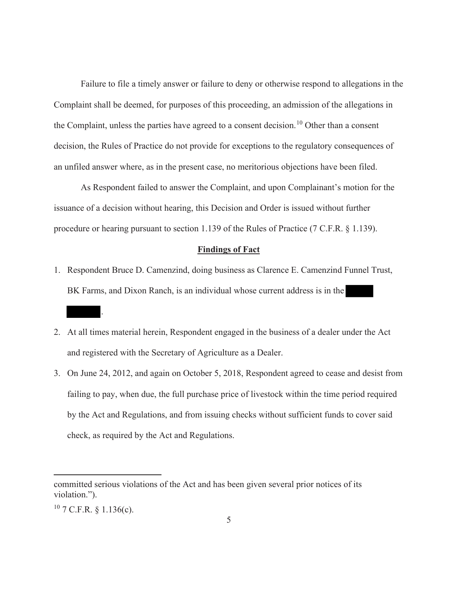Failure to file a timely answer or failure to deny or otherwise respond to allegations in the Complaint shall be deemed, for purposes of this proceeding, an admission of the allegations in the Complaint, unless the parties have agreed to a consent decision.<sup>10</sup> Other than a consent decision, the Rules of Practice do not provide for exceptions to the regulatory consequences of an unfiled answer where, as in the present case, no meritorious objections have been filed.

 As Respondent failed to answer the Complaint, and upon Complainant's motion for the issuance of a decision without hearing, this Decision and Order is issued without further procedure or hearing pursuant to section 1.139 of the Rules of Practice (7 C.F.R. § 1.139).

#### **Findings of Fact**

- 1. Respondent Bruce D. Camenzind, doing business as Clarence E. Camenzind Funnel Trust, BK Farms, and Dixon Ranch, is an individual whose current address is in the
- 2. At all times material herein, Respondent engaged in the business of a dealer under the Act and registered with the Secretary of Agriculture as a Dealer.
- 3. On June 24, 2012, and again on October 5, 2018, Respondent agreed to cease and desist from failing to pay, when due, the full purchase price of livestock within the time period required by the Act and Regulations, and from issuing checks without sufficient funds to cover said check, as required by the Act and Regulations.

.

committed serious violations of the Act and has been given several prior notices of its violation.").

 $10$  7 C.F.R. § 1.136(c).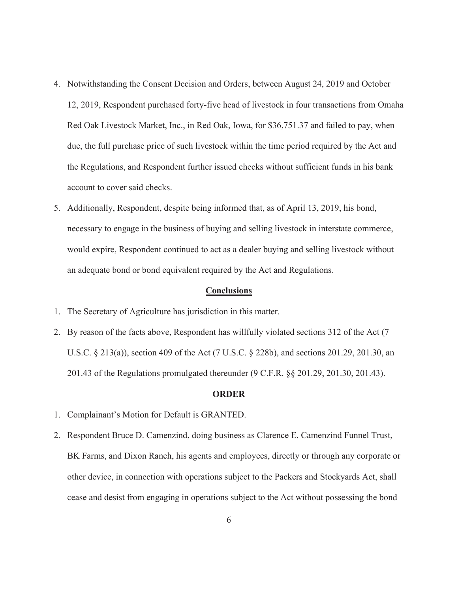- 4. Notwithstanding the Consent Decision and Orders, between August 24, 2019 and October 12, 2019, Respondent purchased forty-five head of livestock in four transactions from Omaha Red Oak Livestock Market, Inc., in Red Oak, Iowa, for \$36,751.37 and failed to pay, when due, the full purchase price of such livestock within the time period required by the Act and the Regulations, and Respondent further issued checks without sufficient funds in his bank account to cover said checks.
- 5. Additionally, Respondent, despite being informed that, as of April 13, 2019, his bond, necessary to engage in the business of buying and selling livestock in interstate commerce, would expire, Respondent continued to act as a dealer buying and selling livestock without an adequate bond or bond equivalent required by the Act and Regulations.

#### **Conclusions**

- 1. The Secretary of Agriculture has jurisdiction in this matter.
- 2. By reason of the facts above, Respondent has willfully violated sections 312 of the Act (7 U.S.C. § 213(a)), section 409 of the Act (7 U.S.C. § 228b), and sections 201.29, 201.30, an 201.43 of the Regulations promulgated thereunder (9 C.F.R. §§ 201.29, 201.30, 201.43).

#### **ORDER**

- 1. Complainant's Motion for Default is GRANTED.
- 2. Respondent Bruce D. Camenzind, doing business as Clarence E. Camenzind Funnel Trust, BK Farms, and Dixon Ranch, his agents and employees, directly or through any corporate or other device, in connection with operations subject to the Packers and Stockyards Act, shall cease and desist from engaging in operations subject to the Act without possessing the bond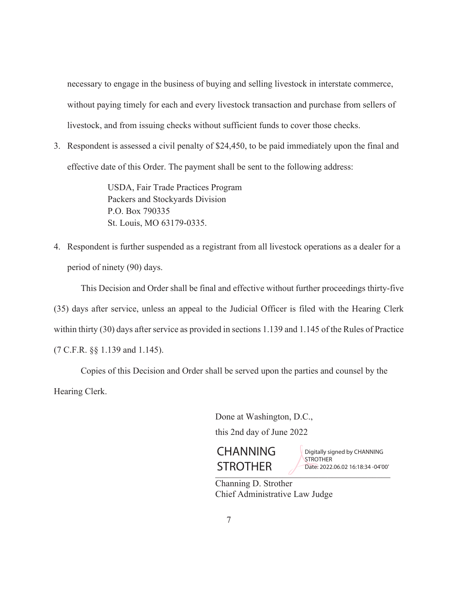necessary to engage in the business of buying and selling livestock in interstate commerce, without paying timely for each and every livestock transaction and purchase from sellers of livestock, and from issuing checks without sufficient funds to cover those checks.

3. Respondent is assessed a civil penalty of \$24,450, to be paid immediately upon the final and effective date of this Order. The payment shall be sent to the following address:

> USDA, Fair Trade Practices Program Packers and Stockyards Division P.O. Box 790335 St. Louis, MO 63179-0335.

4. Respondent is further suspended as a registrant from all livestock operations as a dealer for a period of ninety (90) days.

 This Decision and Order shall be final and effective without further proceedings thirty-five (35) days after service, unless an appeal to the Judicial Officer is filed with the Hearing Clerk within thirty (30) days after service as provided in sections 1.139 and 1.145 of the Rules of Practice (7 C.F.R. §§ 1.139 and 1.145).

Copies of this Decision and Order shall be served upon the parties and counsel by the Hearing Clerk.

Done at Washington, D.C.,

this 2nd day of June 2022



Digitally signed by CHANNING **STROTHER** Date: 2022.06.02 16:18:34 -04'00'

 Channing D. Strother Chief Administrative Law Judge